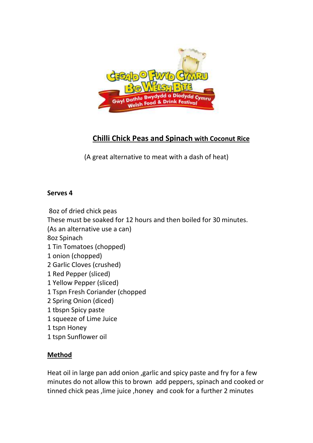

# **Chilli Chick Peas and Spinach with Coconut Rice**

(A great alternative to meat with a dash of heat)

#### **Serves 4**

8oz of dried chick peas These must be soaked for 12 hours and then boiled for 30 minutes. (As an alternative use a can) 8oz Spinach 1 Tin Tomatoes (chopped) 1 onion (chopped) 2 Garlic Cloves (crushed) 1 Red Pepper (sliced) 1 Yellow Pepper (sliced) 1 Tspn Fresh Coriander (chopped 2 Spring Onion (diced) 1 tbspn Spicy paste 1 squeeze of Lime Juice 1 tspn Honey 1 tspn Sunflower oil

## **Method**

Heat oil in large pan add onion ,garlic and spicy paste and fry for a few minutes do not allow this to brown add peppers, spinach and cooked or tinned chick peas, lime juice, honey and cook for a further 2 minutes